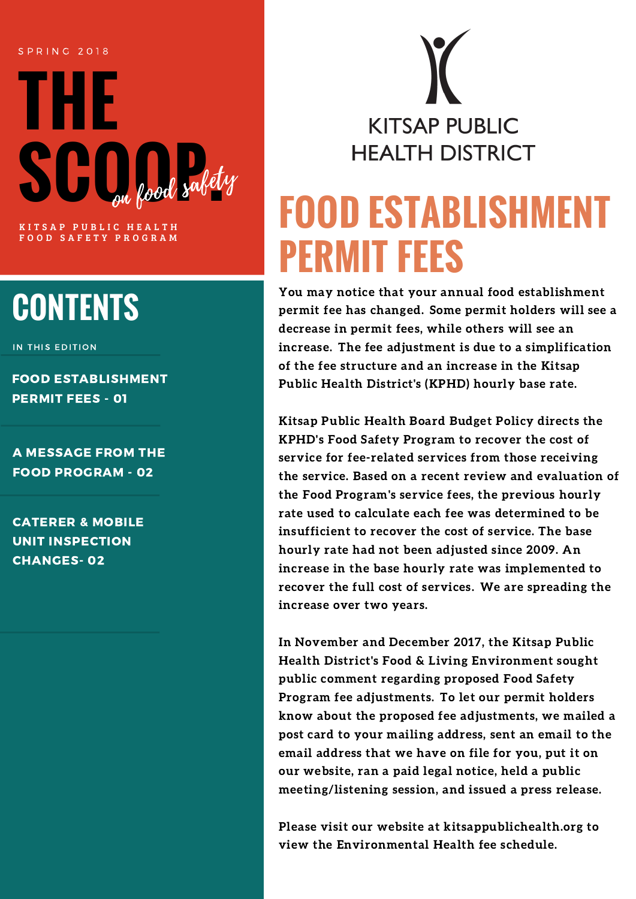#### S P R I N G 2 0 1 8



OOD SAFETY PROGRAM

## **CONTENTS**

IN THIS EDITION

FOOD ESTABLISHMENT PERMIT FEES - 01

A MESSAGE FROM THE FOOD PROGRAM - 02

CATERER & MOBILE UNIT INSPECTION CHANGES- 02

**KITSAP PUBLIC HEALTH DISTRICT** 

# **FOOD ESTABLISHMENT PERMIT FEES**

You may notice that your annual food establishment permit fee has changed. Some permit holders will see a decrease in permit fees, while others will see an increase. The fee adjustment is due to a simplification of the fee structure and an increase in the Kitsap Public Health District's (KPHD) hourly base rate.

Kitsap Public Health Board Budget Policy directs the KPHD's Food Safety Program to recover the cost of service for fee-related services from those receiving the service. Based on a recent review and evaluation of the Food Program's service fees, the previous hourly rate used to calculate each fee was determined to be insufficient to recover the cost of service. The base hourly rate had not been adjusted since 2009. An increase in the base hourly rate was implemented to recover the full cost of services. We are spreading the increase over two years.

In November and December 2017, the Kitsap Public Health District's Food & Living Environment sought public comment regarding proposed Food Safety Program fee adjustments. To let our permit holders know about the proposed fee adjustments, we mailed a post card to your mailing address, sent an email to the email address that we have on file for you, put it on our website, ran a paid legal notice, held a public meeting/listening session, and issued a press release.

Please visit our website at kitsappublichealth.org to view the Environmental Health fee schedule.